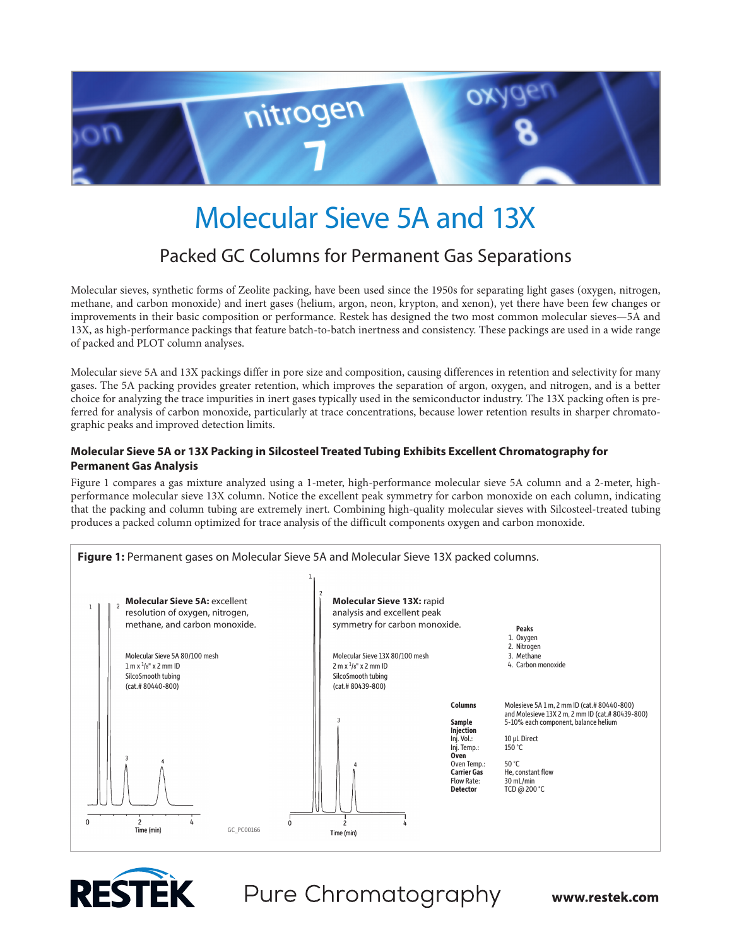

# Molecular Sieve 5A and 13X

### Packed GC Columns for Permanent Gas Separations

Molecular sieves, synthetic forms of Zeolite packing, have been used since the 1950s for separating light gases (oxygen, nitrogen, methane, and carbon monoxide) and inert gases (helium, argon, neon, krypton, and xenon), yet there have been few changes or improvements in their basic composition or performance. Restek has designed the two most common molecular sieves—5A and 13X, as high-performance packings that feature batch-to-batch inertness and consistency. These packings are used in a wide range of packed and PLOT column analyses.

Molecular sieve 5A and 13X packings differ in pore size and composition, causing differences in retention and selectivity for many gases. The 5A packing provides greater retention, which improves the separation of argon, oxygen, and nitrogen, and is a better choice for analyzing the trace impurities in inert gases typically used in the semiconductor industry. The 13X packing often is preferred for analysis of carbon monoxide, particularly at trace concentrations, because lower retention results in sharper chromatographic peaks and improved detection limits.

### **Molecular Sieve 5A or 13X Packing in Silcosteel Treated Tubing Exhibits Excellent Chromatography for Permanent Gas Analysis**

Figure 1 compares a gas mixture analyzed using a 1-meter, high-performance molecular sieve 5A column and a 2-meter, highperformance molecular sieve 13X column. Notice the excellent peak symmetry for carbon monoxide on each column, indicating that the packing and column tubing are extremely inert. Combining high-quality molecular sieves with Silcosteel-treated tubing produces a packed column optimized for trace analysis of the difficult components oxygen and carbon monoxide.





## Pure Chromatography

www.restek.com